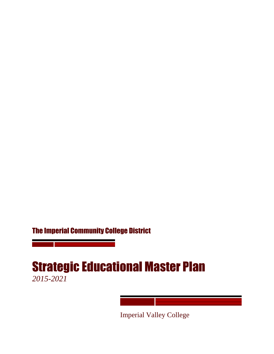# The Imperial Community College District

# Strategic Educational Master Plan *2015-2021*

Imperial Valley College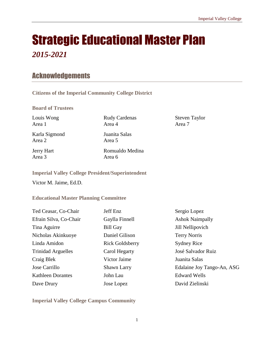# Strategic Educational Master Plan

# *2015-2021*

# Acknowledgements

**Citizens of the Imperial Community College District**

**Board of Trustees**

Louis Wong Area 1

Karla Sigmond Area 2

Jerry Hart Area 3

Rudy Cardenas Area 4

Juanita Salas Area 5

Romualdo Medina Area 6

Steven Taylor Area 7

**Imperial Valley College President/Superintendent**

Victor M. Jaime, Ed.D.

#### **Educational Master Planning Committee**

| Ted Ceasar, Co-Chair      | Jeff Enz               | Sergio Lopez               |
|---------------------------|------------------------|----------------------------|
| Efrain Silva, Co-Chair    | Gaylla Finnell         | <b>Ashok Naimpally</b>     |
| Tina Aguirre              | <b>Bill Gay</b>        | Jill Nellipovich           |
| Nicholas Akinkuoye        | Daniel Gilison         | <b>Terry Norris</b>        |
| Linda Amidon              | <b>Rick Goldsberry</b> | <b>Sydney Rice</b>         |
| <b>Trinidad Arguelles</b> | Carol Hegarty          | José Salvador Ruiz         |
| Craig Blek                | Victor Jaime           | Juanita Salas              |
| Jose Carrillo             | Shawn Larry            | Edalaine Joy Tango-An, ASG |
| <b>Kathleen Dorantes</b>  | John Lau               | <b>Edward Wells</b>        |
| Dave Drury                | Jose Lopez             | David Zielinski            |

**Imperial Valley College Campus Community**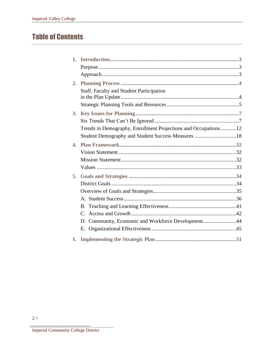# **Table of Contents**

| $\mathbf{1}$ .     |                                                                |  |
|--------------------|----------------------------------------------------------------|--|
|                    |                                                                |  |
|                    |                                                                |  |
| 2.                 |                                                                |  |
|                    | <b>Staff, Faculty and Student Participation</b>                |  |
|                    |                                                                |  |
| 3.                 |                                                                |  |
|                    |                                                                |  |
|                    | Trends in Demography, Enrollment Projections and Occupations12 |  |
|                    | Student Demography and Student Success Measures 18             |  |
| $\blacktriangle$ . |                                                                |  |
|                    |                                                                |  |
|                    |                                                                |  |
|                    |                                                                |  |
| 5.                 |                                                                |  |
|                    |                                                                |  |
|                    |                                                                |  |
|                    |                                                                |  |
|                    | <b>B.</b>                                                      |  |
|                    |                                                                |  |
|                    | D. Community, Economic and Workforce Development44             |  |
|                    |                                                                |  |
| 1.                 |                                                                |  |

Imperial Community College District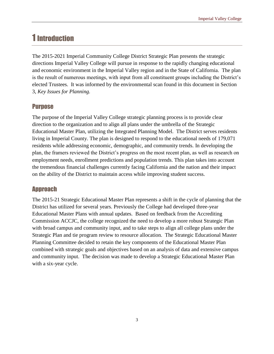# 1 Introduction

The 2015-2021 Imperial Community College District Strategic Plan presents the strategic directions Imperial Valley College will pursue in response to the rapidly changing educational and economic environment in the Imperial Valley region and in the State of California. The plan is the result of numerous meetings, with input from all constituent groups including the District's elected Trustees. It was informed by the environmental scan found in this document in Section 3, *Key Issues for Planning.*

### **Purpose**

The purpose of the Imperial Valley College strategic planning process is to provide clear direction to the organization and to align all plans under the umbrella of the Strategic Educational Master Plan, utilizing the Integrated Planning Model. The District serves residents living in Imperial County. The plan is designed to respond to the educational needs of 179,071 residents while addressing economic, demographic, and community trends. In developing the plan, the framers reviewed the District's progress on the most recent plan, as well as research on employment needs, enrollment predictions and population trends. This plan takes into account the tremendous financial challenges currently facing California and the nation and their impact on the ability of the District to maintain access while improving student success.

### Approach

The 2015-21 Strategic Educational Master Plan represents a shift in the cycle of planning that the District has utilized for several years. Previously the College had developed three-year Educational Master Plans with annual updates. Based on feedback from the Accrediting Commission ACCJC, the college recognized the need to develop a more robust Strategic Plan with broad campus and community input, and to take steps to align all college plans under the Strategic Plan and tie program review to resource allocation. The Strategic Educational Master Planning Committee decided to retain the key components of the Educational Master Plan combined with strategic goals and objectives based on an analysis of data and extensive campus and community input. The decision was made to develop a Strategic Educational Master Plan with a six-year cycle.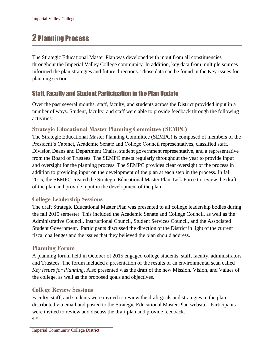# 2 Planning Process

The Strategic Educational Master Plan was developed with input from all constituencies throughout the Imperial Valley College community. In addition, key data from multiple sources informed the plan strategies and future directions. Those data can be found in the Key Issues for planning section.

# Staff, Faculty and Student Participation in the Plan Update

Over the past several months, staff, faculty, and students across the District provided input in a number of ways. Student, faculty, and staff were able to provide feedback through the following activities:

### **Strategic Educational Master Planning Committee (SEMPC)**

The Strategic Educational Master Planning Committee (SEMPC) is composed of members of the President's Cabinet, Academic Senate and College Council representatives, classified staff, Division Deans and Department Chairs, student government representative, and a representative from the Board of Trustees. The SEMPC meets regularly throughout the year to provide input and oversight for the planning process. The SEMPC provides clear oversight of the process in addition to providing input on the development of the plan at each step in the process. In fall 2015, the SEMPC created the Strategic Educational Master Plan Task Force to review the draft of the plan and provide input in the development of the plan.

#### **College Leadership Sessions**

The draft Strategic Educational Master Plan was presented to all college leadership bodies during the fall 2015 semester. This included the Academic Senate and College Council, as well as the Administrative Council, Instructional Council, Student Services Council, and the Associated Student Government. Participants discussed the direction of the District in light of the current fiscal challenges and the issues that they believed the plan should address.

### **Planning Forum**

A planning forum held in October of 2015 engaged college students, staff, faculty, administrators and Trustees. The forum included a presentation of the results of an environmental scan called *Key Issues for Planning*. Also presented was the draft of the new Mission, Vision, and Values of the college, as well as the proposed goals and objectives.

#### **College Review Sessions**

4 Faculty, staff, and students were invited to review the draft goals and strategies in the plan distributed via email and posted to the Strategic Educational Master Plan website. Participants were invited to review and discuss the draft plan and provide feedback.

Imperial Community College District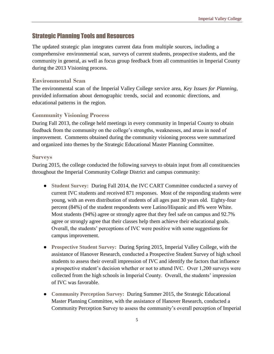#### Strategic Planning Tools and Resources

The updated strategic plan integrates current data from multiple sources, including a comprehensive environmental scan, surveys of current students, prospective students, and the community in general, as well as focus group feedback from all communities in Imperial County during the 2013 Visioning process.

#### **Environmental Scan**

The environmental scan of the Imperial Valley College service area, *Key Issues for Planning,* provided information about demographic trends, social and economic directions, and educational patterns in the region.

#### **Community Visioning Process**

During Fall 2013, the college held meetings in every community in Imperial County to obtain feedback from the community on the college's strengths, weaknesses, and areas in need of improvement. Comments obtained during the community visioning process were summarized and organized into themes by the Strategic Educational Master Planning Committee.

#### **Surveys**

During 2015, the college conducted the following surveys to obtain input from all constituencies throughout the Imperial Community College District and campus community:

- **Student Survey:** During Fall 2014, the IVC CART Committee conducted a survey of current IVC students and received 871 responses. Most of the responding students were young, with an even distribution of students of all ages past 30 years old. Eighty-four percent (84%) of the student respondents were Latino/Hispanic and 8% were White. Most students (94%) agree or strongly agree that they feel safe on campus and 92.7% agree or strongly agree that their classes help them achieve their educational goals. Overall, the students' perceptions of IVC were positive with some suggestions for campus improvement.
- **Prospective Student Survey:** During Spring 2015, Imperial Valley College, with the assistance of Hanover Research, conducted a Prospective Student Survey of high school students to assess their overall impression of IVC and identify the factors that influence a prospective student's decision whether or not to attend IVC. Over 1,200 surveys were collected from the high schools in Imperial County. Overall, the students' impression of IVC was favorable.
- **Community Perception Survey:** During Summer 2015, the Strategic Educational Master Planning Committee, with the assistance of Hanover Research, conducted a Community Perception Survey to assess the community's overall perception of Imperial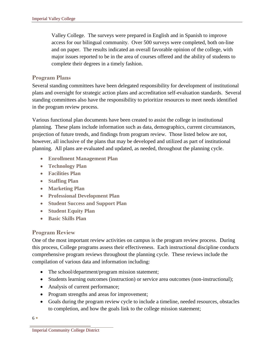Valley College. The surveys were prepared in English and in Spanish to improve access for our bilingual community. Over 500 surveys were completed, both on-line and on paper. The results indicated an overall favorable opinion of the college, with major issues reported to be in the area of courses offered and the ability of students to complete their degrees in a timely fashion.

#### **Program Plans**

Several standing committees have been delegated responsibility for development of institutional plans and oversight for strategic action plans and accreditation self-evaluation standards. Several standing committees also have the responsibility to prioritize resources to meet needs identified in the program review process.

Various functional plan documents have been created to assist the college in institutional planning. These plans include information such as data, demographics, current circumstances, projection of future trends, and findings from program review. Those listed below are not, however, all inclusive of the plans that may be developed and utilized as part of institutional planning. All plans are evaluated and updated, as needed, throughout the planning cycle.

- **Enrollment Management Plan**
- **Technology Plan**
- **Facilities Plan**
- **Staffing Plan**
- **Marketing Plan**
- **Professional Development Plan**
- **Student Success and Support Plan**
- **Student Equity Plan**
- **Basic Skills Plan**

### **Program Review**

One of the most important review activities on campus is the program review process. During this process, College programs assess their effectiveness. Each instructional discipline conducts comprehensive program reviews throughout the planning cycle. These reviews include the compilation of various data and information including:

- The school/department/program mission statement;
- Students learning outcomes (instruction) or service area outcomes (non-instructional);
- Analysis of current performance;
- Program strengths and areas for improvement;
- Goals during the program review cycle to include a timeline, needed resources, obstacles to completion, and how the goals link to the college mission statement;

6

Imperial Community College District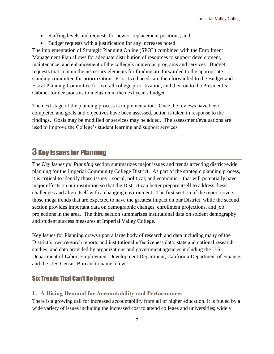- Staffing levels and requests for new or replacement positions; and
- Budget requests with a justification for any increases noted.

The implementation of Strategic Planning Online (SPOL) combined with the Enrollment Management Plan allows for adequate distribution of resources to support development, maintenance, and enhancement of the college's numerous programs and services. Budget requests that contain the necessary elements for funding are forwarded to the appropriate standing committee for prioritization. Prioritized needs are then forwarded to the Budget and Fiscal Planning Committee for overall college prioritization, and then on to the President's Cabinet for decisions as to inclusion in the next year's budget.

The next stage of the planning process is implementation. Once the reviews have been completed and goals and objectives have been assessed, action is taken in response to the findings. Goals may be modified or services may be added. The assessment/evaluations are used to improve the College's student learning and support services.

# 3 Key Issues for Planning

The *Key Issues for Planning* section summarizes major issues and trends affecting district-wide planning for the Imperial Community College District. As part of the strategic planning process, it is critical to identify those issues – social, political, and economic – that will potentially have major effects on our institution so that the District can better prepare itself to address these challenges and align itself with a changing environment. The first section of the report covers those mega trends that are expected to have the greatest impact on our District, while the second section provides important data on demographic changes, enrollment projections, and job projections in the area. The third section summarizes institutional data on student demography and student success measures at Imperial Valley College.

Key Issues for Planning draws upon a large body of research and data including many of the District's own research reports and institutional effectiveness data; state and national research studies; and data provided by organizations and government agencies including the U.S. Department of Labor, Employment Development Department, California Department of Finance, and the U.S. Census Bureau, to name a few.

### Six Trends That Can't Be Ignored

#### **1. A Rising Demand for Accountability and Performance:**

There is a growing call for increased accountability from all of higher education. It is fueled by a wide variety of issues including the increased cost to attend colleges and universities; widely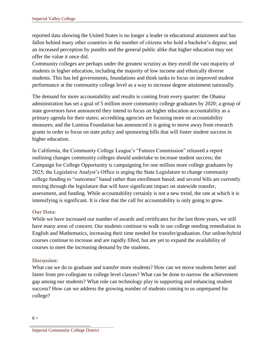reported data showing the United States is no longer a leader in educational attainment and has fallen behind many other countries in the number of citizens who hold a bachelor's degree; and an increased perception by pundits and the general public alike that higher education may not offer the value it once did.

Community colleges are perhaps under the greatest scrutiny as they enroll the vast majority of students in higher education, including the majority of low income and ethnically diverse students. This has led governments, foundations and think tanks to focus on improved student performance at the community college level as a way to increase degree attainment nationally.

The demand for more accountability and results is coming from every quarter: the Obama administration has set a goal of 5 million more community college graduates by 2020; a group of state governors have announced they intend to focus on higher education accountability as a primary agenda for their states; accrediting agencies are focusing more on accountability measures; and the Lumina Foundation has announced it is going to move away from research grants in order to focus on state policy and sponsoring bills that will foster student success in higher education.

In California, the Community College League's "Futures Commission" released a report outlining changes community colleges should undertake to increase student success; the Campaign for College Opportunity is campaigning for one million more college graduates by 2025; the Legislative Analyst's Office is urging the State Legislature to change community college funding to "outcomes" based rather than enrollment based; and several bills are currently moving through the legislature that will have significant impact on statewide transfer, assessment, and funding. While accountability certainly is not a new trend, the rate at which it is intensifying is significant. It is clear that the call for accountability is only going to grow.

#### **Our Data:**

While we have increased our number of awards and certificates for the last three years, we still have many areas of concern. Our students continue to walk in our college needing remediation in English and Mathematics, increasing their time needed for transfer/graduation. Our online/hybrid courses continue to increase and are rapidly filled, but are yet to expand the availability of courses to meet the increasing demand by the students.

#### **Discussion:**

What can we do to graduate and transfer more students? How can we move students better and faster from pre-collegiate to college level classes? What can be done to narrow the achievement gap among our students? What role can technology play in supporting and enhancing student success? How can we address the growing number of students coming to us unprepared for college?

<sup>8</sup>

Imperial Community College District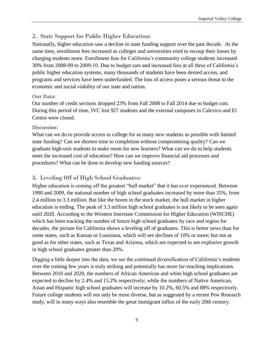#### **2. State Support for Public Higher Education:**

Nationally, higher education saw a decline in state funding support over the past decade. At the same time, enrollment fees increased as colleges and universities tried to recoup their losses by charging students more. Enrollment fees for California's community college students increased 30% from 2008-09 to 2009-10. Due to budget cuts and increased fees at all three of California's public higher education systems, many thousands of students have been denied access, and programs and services have been underfunded. The loss of access poses a serious threat to the economic and social viability of our state and nation.

#### **Our Data:**

Our number of credit sections dropped 23% from Fall 2008 to Fall 2014 due to budget cuts. During this period of time, IVC lost 927 students and the external campuses in Calexico and El Centro were closed.

#### **Discussion:**

What can we do to provide access to college for as many new students as possible with limited state funding? Can we shorten time to completion without compromising quality? Can we graduate high-unit students to make room for new learners? What can we do to help students meet the increased cost of education? How can we improve financial aid processes and procedures? What can be done to develop new funding sources?

#### **3. Leveling Off of High School Graduates:**

Higher education is coming off the greatest "bull market" that it has ever experienced. Between 1990 and 2009, the national number of high school graduates increased by more than 35%, from 2.4 million to 3.3 million. But like the boom in the stock market, the bull market in higher education is ending. The peak of 3.3 million high school graduates is not likely to be seen again until 2020. According to the Western Interstate Commission for Higher Education (WISCHE) which has been tracking the number of future high school graduates by race and region for decades, the picture for California shows a leveling off of graduates. This is better news than for some states, such as Kansas or Louisiana, which will see declines of 10% or more; but not as good as for other states, such as Texas and Arizona, which are expected to see explosive growth in high school graduates greater than 20%.

Digging a little deeper into the data, we see the continued diversification of California's students over the coming few years is truly striking and potentially has more far-reaching implications. Between 2010 and 2020, the numbers of African American and white high school graduates are expected to decline by 2.4% and 15.2% respectively; while the numbers of Native American, Asian and Hispanic high school graduates will increase by 10.2%, 60.5% and 88% respectively. Future college students will not only be more diverse, but as suggested by a recent Pew Research study, will in many ways also resemble the great immigrant influx of the early 20th century.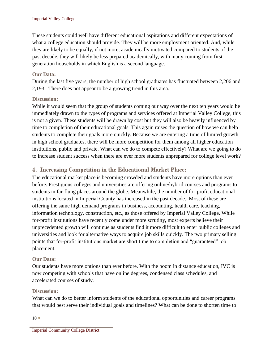These students could well have different educational aspirations and different expectations of what a college education should provide. They will be more employment oriented. And, while they are likely to be equally, if not more, academically motivated compared to students of the past decade, they will likely be less prepared academically, with many coming from firstgeneration households in which English is a second language.

#### **Our Data:**

During the last five years, the number of high school graduates has fluctuated between 2,206 and 2,193. There does not appear to be a growing trend in this area.

#### **Discussion:**

While it would seem that the group of students coming our way over the next ten years would be immediately drawn to the types of programs and services offered at Imperial Valley College, this is not a given. These students will be drawn by cost but they will also be heavily influenced by time to completion of their educational goals. This again raises the question of how we can help students to complete their goals more quickly. Because we are entering a time of limited growth in high school graduates, there will be more competition for them among all higher education institutions, public and private. What can we do to compete effectively? What are we going to do to increase student success when there are ever more students unprepared for college level work?

#### **4. Increasing Competition in the Educational Market Place:**

The educational market place is becoming crowded and students have more options than ever before. Prestigious colleges and universities are offering online/hybrid courses and programs to students in far-flung places around the globe. Meanwhile, the number of for-profit educational institutions located in Imperial County has increased in the past decade. Most of these are offering the same high demand programs in business, accounting, health care, teaching, information technology, construction, etc., as those offered by Imperial Valley College. While for-profit institutions have recently come under more scrutiny, most experts believe their unprecedented growth will continue as students find it more difficult to enter public colleges and universities and look for alternative ways to acquire job skills quickly. The two primary selling points that for-profit institutions market are short time to completion and "guaranteed" job placement.

#### **Our Data:**

Our students have more options than ever before. With the boom in distance education, IVC is now competing with schools that have online degrees, condensed class schedules, and accelerated courses of study.

#### **Discussion:**

What can we do to better inform students of the educational opportunities and career programs that would best serve their individual goals and timelines? What can be done to shorten time to

 $10 \bullet$ 

Imperial Community College District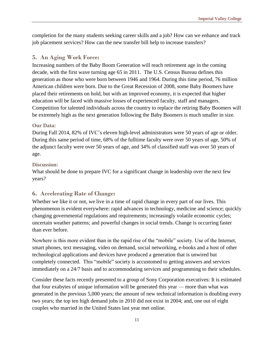completion for the many students seeking career skills and a job? How can we enhance and track job placement services? How can the new transfer bill help to increase transfers?

#### **5. An Aging Work Force:**

Increasing numbers of the Baby Boom Generation will reach retirement age in the coming decade, with the first wave turning age 65 in 2011. The U.S. Census Bureau defines this generation as those who were born between 1946 and 1964. During this time period, 76 million American children were born. Due to the Great Recession of 2008, some Baby Boomers have placed their retirements on hold, but with an improved economy, it is expected that higher education will be faced with massive losses of experienced faculty, staff and managers. Competition for talented individuals across the country to replace the retiring Baby Boomers will be extremely high as the next generation following the Baby Boomers is much smaller in size.

#### **Our Data:**

During Fall 2014, 82% of IVC's eleven high-level administrators were 50 years of age or older. During this same period of time, 68% of the fulltime faculty were over 50 years of age, 50% of the adjunct faculty were over 50 years of age, and 34% of classified staff was over 50 years of age.

#### **Discussion:**

What should be done to prepare IVC for a significant change in leadership over the next few years?

#### **6. Accelerating Rate of Change:**

Whether we like it or not, we live in a time of rapid change in every part of our lives. This phenomenon is evident everywhere: rapid advances in technology, medicine and science; quickly changing governmental regulations and requirements; increasingly volatile economic cycles; uncertain weather patterns; and powerful changes in social trends. Change is occurring faster than ever before.

Nowhere is this more evident than in the rapid rise of the "mobile" society. Use of the Internet, smart phones, text messaging, video on demand, social networking, e-books and a host of other technological applications and devices have produced a generation that is unwired but completely connected. This "mobile" society is accustomed to getting answers and services immediately on a 24/7 basis and to accommodating services and programming to their schedules.

Consider these facts recently presented to a group of Sony Corporation executives: It is estimated that four exabytes of unique information will be generated this year — more than what was generated in the previous 5,000 years; the amount of new technical information is doubling every two years; the top ten high demand jobs in 2010 did not exist in 2004; and, one out of eight couples who married in the United States last year met online.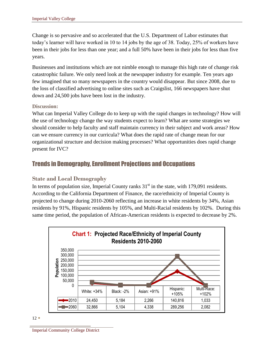Change is so pervasive and so accelerated that the U.S. Department of Labor estimates that today's learner will have worked in 10 to 14 jobs by the age of 38. Today, 25% of workers have been in their jobs for less than one year; and a full 50% have been in their jobs for less than five years.

Businesses and institutions which are not nimble enough to manage this high rate of change risk catastrophic failure. We only need look at the newspaper industry for example. Ten years ago few imagined that so many newspapers in the country would disappear. But since 2008, due to the loss of classified advertising to online sites such as Craigslist, 166 newspapers have shut down and 24,500 jobs have been lost in the industry.

#### **Discussion:**

What can Imperial Valley College do to keep up with the rapid changes in technology? How will the use of technology change the way students expect to learn? What are some strategies we should consider to help faculty and staff maintain currency in their subject and work areas? How can we ensure currency in our curricula? What does the rapid rate of change mean for our organizational structure and decision making processes? What opportunities does rapid change present for IVC?

### Trends in Demography, Enrollment Projections and Occupations

#### **State and Local Demography**

In terms of population size, Imperial County ranks  $31<sup>st</sup>$  in the state, with 179,091 residents. According to the California Department of Finance, the race/ethnicity of Imperial County is projected to change during 2010-2060 reflecting an increase in white residents by 34%, Asian residents by 91%, Hispanic residents by 105%, and Multi-Racial residents by 102%. During this same time period, the population of African-American residents is expected to decrease by 2%.



Imperial Community College District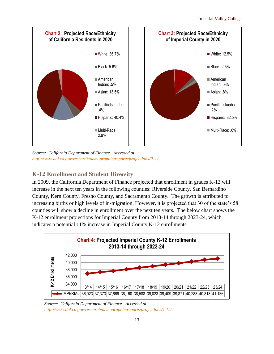

*Source: California Department of Finance. Accessed at [http://www.dof.ca.gov/research/demographic/reports/projections/P-1/.](http://www.dof.ca.gov/research/demographic/reports/projections/P-1/)* 

# **K-12 Enrollment and Student Diversity**

In 2009, the California Department of Finance projected that enrollment in grades K-12 will increase in the next ten years in the following counties: Riverside County, San Bernardino County, Kern County, Fresno County, and Sacramento County. The growth is attributed to increasing births or high levels of in-migration. However, it is projected that 30 of the state's 58 counties will show a decline in enrollment over the next ten years. The below chart shows the K-12 enrollment projections for Imperial County from 2013-14 through 2023-24, which indicates a potential 11% increase in Imperial County K-12 enrollments.



*Source: California Department of Finance. Accessed at [http://www.dof.ca.gov/research/demographic/reports/projections/k-12/.](http://www.dof.ca.gov/research/demographic/reports/projections/k-12/)*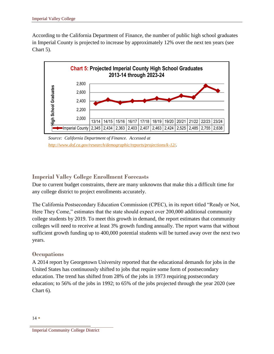According to the California Department of Finance, the number of public high school graduates in Imperial County is projected to increase by approximately 12% over the next ten years (see Chart 5).



*Source: California Department of Finance. Accessed at <http://www.dof.ca.gov/research/demographic/reports/projections/k-12/>.* 

### **Imperial Valley College Enrollment Forecasts**

Due to current budget constraints, there are many unknowns that make this a difficult time for any college district to project enrollments accurately.

The California Postsecondary Education Commission (CPEC), in its report titled "Ready or Not, Here They Come," estimates that the state should expect over 200,000 additional community college students by 2019. To meet this growth in demand, the report estimates that community colleges will need to receive at least 3% growth funding annually. The report warns that without sufficient growth funding up to 400,000 potential students will be turned away over the next two years.

### **Occupations**

A 2014 report by Georgetown University reported that the educational demands for jobs in the United States has continuously shifted to jobs that require some form of postsecondary education. The trend has shifted from 28% of the jobs in 1973 requiring postsecondary education; to 56% of the jobs in 1992; to 65% of the jobs projected through the year 2020 (see Chart 6).

Imperial Community College District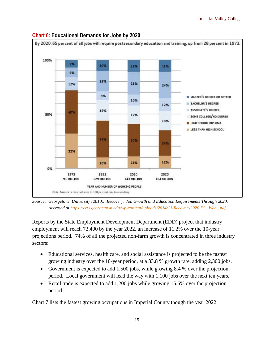

#### **Chart 6: Educational Demands for Jobs by 2020**

*Source: Georgetown University (2010). Recovery: Job Growth and Education Requirements Through 2020. Accessed at [https://cew.georgetown.edu/wp-content/uploads/2014/11/Recovery2020.ES\\_.Web\\_.pdf](https://cew.georgetown.edu/wp-content/uploads/2014/11/Recovery2020.ES_.Web_.pdf)*.

Reports by the State Employment Development Department (EDD) project that industry employment will reach 72,400 by the year 2022, an increase of 11.2% over the 10-year projections period. 74% of all the projected non-farm growth is concentrated in three industry sectors:

- Educational services, health care, and social assistance is projected to be the fastest growing industry over the 10-year period, at a 33.8 % growth rate, adding 2,300 jobs.
- Government is expected to add 1,500 jobs, while growing 8.4 % over the projection period. Local government will lead the way with 1,100 jobs over the next ten years.
- Retail trade is expected to add 1,200 jobs while growing 15.6% over the projection period.

Chart 7 lists the fastest growing occupations in Imperial County though the year 2022.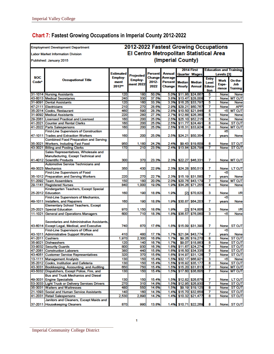### **Chart 7: Fastest Growing Occupations in Imperial County 2012-2022**

#### **Employment Development Department**

**Labor Market Information Division** 

Published: January 2015

#### 2012-2022 Fastest Growing Occupations El Centro Metropolitan Statistical Area (Imperial County)

|            |                                                                             |           |              |                |                | 2014 First           |                                     | <b>Education and Training</b> |                     |                              |  |
|------------|-----------------------------------------------------------------------------|-----------|--------------|----------------|----------------|----------------------|-------------------------------------|-------------------------------|---------------------|------------------------------|--|
|            |                                                                             | Estimated | Projected    | <b>Percent</b> | <b>Annual</b>  | <b>Quarter Wages</b> |                                     | Levels <sup>[3]</sup>         |                     |                              |  |
| <b>SOC</b> | <b>Occupational Title</b>                                                   | Employ-   | Employ-      | <b>Change</b>  | Average        |                      |                                     | <b>Entry</b>                  | Work                | On-the-                      |  |
| Code*      |                                                                             | ment      | ment 2022    | 2012-          | <b>Percent</b> | <b>Median</b>        | Median                              | <b>Level</b>                  | Expe-               | Job                          |  |
|            |                                                                             | 2012**    |              | 2022           | Change         | <b>Hourly</b>        | <b>Annual</b>                       | Educa-                        | rience              | <b>Training</b>              |  |
|            |                                                                             |           |              |                |                |                      |                                     | tion                          |                     |                              |  |
|            | 31-1014 Nursing Assistants                                                  | 120       | 180          | 50.0%          | 5.0%           |                      | \$11.86 \$24,667                    | 5                             | None                | <b>None</b>                  |  |
|            | 43-6013 Medical Secretaries                                                 | 240       | 330          | 37.5%          | 3.8%           |                      | \$13,47 \$28,008                    | 7                             | None                | <b>MT OJT</b>                |  |
|            | 31-9091 Dental Assistants                                                   | 120       | 160          | 33.3%          | 3.3%           |                      | \$16.25 \$33,797                    | 5                             | None                | <b>None</b>                  |  |
| 47-2111    | Electricians                                                                | 210       | 270          | 28.6%          | 2.9%           |                      | \$29.21 \$60,767                    | 7                             | None                | <b>APP</b>                   |  |
| 35-2014    | Cooks, Restaurant                                                           | 460       | 590          | 28.3%          | 2.8%           |                      | \$10.50 \$21,846                    | 8                             | <5                  | <b>MT OJT</b>                |  |
|            | 31-9092 Medical Assistants                                                  | 220       | 280          | 27.3%          | 2.7%           |                      | \$12.68 \$26,360                    | 5                             | None                | <b>None</b>                  |  |
|            | 29-2061 Licensed Practical and Licensed                                     | 160       | 200          | 25.0%          | 2.5%           |                      | \$25.10 \$52,215                    | 5                             | None                | <b>None</b>                  |  |
| 41-2021    | <b>Counter and Rental Clerks</b>                                            | 160       | 200          | 25.0%          | 2.5%           | \$11.77              | \$24,491                            | 8                             | <b>None</b>         | <b>ST OJT</b>                |  |
|            | 41-2022 Parts Salespersons<br><b>First-Line Supervisors of Construction</b> | 160       | 200          | 25.0%          | 2.5%           | \$16.31              | \$33,924                            | 8                             | None                | <b>MT OJT</b>                |  |
|            |                                                                             |           |              |                |                |                      |                                     |                               | 25                  |                              |  |
|            | 47-1011 Trades and Extraction Workers                                       | 160       | 200          | 25.0%          | 2.5%           |                      | \$24.21 \$50,354                    | 7                             | years               | <b>None</b>                  |  |
| 35-3021    | <b>Combined Food Preparation and Serving</b>                                | 950       |              |                |                |                      |                                     | 8                             |                     |                              |  |
|            | Workers, Including Fast Food<br>43-3021 Billing and Posting Clerks          | 170       | 1,180<br>210 | 24.2%<br>23.5% | 2.4%<br>2.4%   |                      | \$9.43 \$19,609<br>\$13.84 \$28,798 | 7                             | <b>None</b><br>None | <b>STOJT</b><br><b>STOJT</b> |  |
|            |                                                                             |           |              |                |                |                      |                                     |                               |                     |                              |  |
|            | Sales Representatives, Wholesale and<br>Manufacturing, Except Technical and |           |              |                |                |                      |                                     |                               |                     |                              |  |
|            | 41-4012 Scientific Products                                                 | 300       | 370          | 23.3%          | 2.3%           |                      | \$22.27 \$46,331                    | 7                             |                     | None MT OJT                  |  |
|            | <b>Automotive Service Technicians and</b>                                   |           |              |                |                |                      |                                     |                               |                     |                              |  |
|            | 49-3023 Mechanics                                                           | 350       | 430          | 22.9%          | 2.3%           |                      | \$24.28 \$50,513                    | 7                             | None                | LT OJT                       |  |
|            | <b>First-Line Supervisors of Food</b>                                       |           |              |                |                |                      |                                     |                               | <5                  |                              |  |
|            | 35-1012 Preparation and Serving Workers                                     | 220       | 270          | 22.7%          | 2.3%           |                      | \$15.19 \$31,580                    | 7                             | years               | <b>None</b>                  |  |
|            | 51-2092 Team Assemblers                                                     | 150       | 180          | 20.0%          | 2.0%           |                      | \$20.76 \$43.179                    | 7                             | <b>None</b>         | <b>MT OJT</b>                |  |
|            | 29-1141 Registered Nurses                                                   | 840       | 1.000        | 19.0%          | 1.9%           |                      | \$34.26 \$71.255                    | 4                             | None                | None                         |  |
|            | Kindergarten Teachers, Except Special                                       |           |              |                |                |                      |                                     |                               |                     |                              |  |
|            | 25-2012 Education                                                           | 160       | 190          | 18.8%          | 1.9%           |                      | $[2]$ \$70,820                      | 3                             | None                | <b>I/R</b>                   |  |
|            | <b>First-Line Supervisors of Mechanics,</b>                                 |           |              |                |                |                      |                                     |                               | 45                  |                              |  |
|            | 49-1011  Installers, and Repairers                                          | 160       | 190          | 18.8%          | 1.9%           |                      | \$30.87 \$64,203                    | 7                             | years               | <b>None</b>                  |  |
|            | <b>Elementary School Teachers, Except</b>                                   |           |              |                |                |                      |                                     |                               |                     |                              |  |
|            | 25-2021 Special Education                                                   | 970       | 1,150        | 18.6%          | 1.9%           |                      | $[2]$ \$74,806                      | з                             | None                | <b>I/R</b>                   |  |
|            | 11-1021 General and Operations Managers                                     | 600       | 710          | 18.3%          | 1.8%           |                      | \$36.57 \$76,060                    | 3                             | <5                  | <b>None</b>                  |  |
|            |                                                                             |           |              |                |                |                      |                                     |                               |                     |                              |  |
|            | Secretaries and Administrative Assistants.                                  |           |              |                |                |                      |                                     |                               |                     |                              |  |
|            | 43-6014 Except Legal, Medical, and Executive                                | 740       | 870          | 17.6%          | 1.8%           |                      | \$15.09 \$31,390                    | 7                             | <b>None</b>         | <b>ST OJT</b>                |  |
|            | First-Line Supervisors of Office and                                        |           |              |                |                |                      |                                     |                               | <5                  |                              |  |
|            | 43-1011 Administrative Support Workers                                      | 410       | 480          | 17.1%          | 1.7%           |                      | \$21.04 \$43,774                    | 7                             | years               | <b>None</b>                  |  |
|            | 41-2011 Cashiers                                                            | 1,970     | 2,300        | 16.8%          | 1.7%           |                      | \$9.26 \$19,270                     | 8                             |                     | None STOJT                   |  |
|            | 35-9021 Dishwashers                                                         | 120       | 140          | 16.7%          | 1.7%           |                      | \$9.07 \$18,863                     | 8                             |                     | None STOJT                   |  |
|            | 33-9032 Security Guards                                                     | 800       | 930          | 16.3%          | 1.6%           |                      | \$11.67 \$24,274                    | 7                             | None                | <b>STOJT</b>                 |  |
|            | 47-2061 Construction Laborers                                               | 380       | 440          | 15.8%          | 1.6%           |                      | \$16.50 \$34,335                    | 8                             | <b>None</b>         | <b>ST OJT</b>                |  |
|            | 43-4051 Customer Service Representatives                                    | 320       | 370          | 15.6%          | 1.6%           |                      | \$14.97 \$31.126                    | 7                             | None                | <b>STOJT</b>                 |  |
|            | 13-1111 Management Analysts                                                 | 130       | 150          | 15.4%          | 1.5%           |                      | \$32.17 \$66.921                    | з                             | <5                  | <b>None</b>                  |  |
|            | 35-2012 Cooks, Institution and Cafeteria                                    | 130       | 150          | 15.4%          | 1.5%           |                      | \$16.92 \$35,177                    | 8                             | None                | <b>STOJT</b>                 |  |
|            | 43-3031 Bookkeeping, Accounting, and Auditing                               | 650       | 750          | 15.4%          | 1.5%           |                      | \$15.20 \$31,613                    | 7                             |                     | None MT OJT                  |  |
|            | 43-5032 Dispatchers, Except Police, Fire, and                               | 130       | 150          | 15.4%          |                |                      | 1.5% \$17.60 \$36,605               | 7                             |                     | None MT OJT                  |  |
|            | <b>Bus and Truck Mechanics and Diesel</b>                                   |           |              |                |                |                      |                                     |                               |                     |                              |  |
|            | 49-3031 Engine Specialists                                                  | 130       | 150          | 15.4%          |                |                      | 1.5% \$12.82 \$26,676               | 7                             |                     | None LT OJT                  |  |
|            | 53-3033 Light Truck or Delivery Services Drivers                            | 270       | 310          | 14.8%          |                |                      | 1.5% \$12.95 \$26,930               | 7                             |                     | None STOJT                   |  |
|            | 35-3031 Waiters and Waitresses                                              | 480       | 550          | 14.6%          |                |                      | 1.5% \$9.19 \$19,125                | 8                             |                     | None STOJT                   |  |
|            | 21-1093 Social and Human Service Assistants                                 | 140       | 160          | 14.3%          |                |                      | 1.4% \$15.70 \$32,658               | $\overline{7}$                |                     | None STOJT                   |  |
|            | 41-2031 Retail Salespersons                                                 | 2,530     | 2,890        | 14.2%          | 1.4%           |                      | \$10.32 \$21,477                    | 8                             |                     | None STOJT                   |  |
|            | Janitors and Cleaners, Except Maids and                                     |           |              |                |                |                      |                                     |                               |                     |                              |  |
|            | 37-2011 Housekeeping Cleaners                                               | 870       | 990          | 13.8%          |                |                      | 1.4% \$10.71 \$22,269               | 8                             |                     | None STOJT                   |  |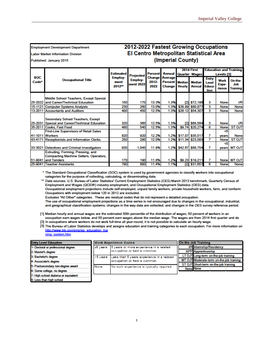#### **Employment Development Department**

**Labor Market Information Division** 

Published: January 2015

#### 2012-2022 Fastest Growing Occupations El Centro Metropolitan Statistical Area (Imperial County)

|                                 |                                                                             | <b>Estimated</b>                                                      |       | <b>Percent</b>                 | <b>Annual</b>                       | 2014 First<br><b>Quarter Wages</b> |                                | <b>Education and Training</b><br>Levels [3]    |                         |                                    |
|---------------------------------|-----------------------------------------------------------------------------|-----------------------------------------------------------------------|-------|--------------------------------|-------------------------------------|------------------------------------|--------------------------------|------------------------------------------------|-------------------------|------------------------------------|
| <b>SOC</b><br>Code <sup>*</sup> | <b>Occupational Title</b>                                                   | Projected<br>Employ-<br><b>Employ-</b><br>ment<br>ment 2022<br>2012** |       | <b>Change</b><br>2012-<br>2022 | Average<br><b>Percent</b><br>Change | <b>Median</b><br><b>Hourly</b>     | <b>Median</b><br><b>Annual</b> | <b>Entry</b><br>Level<br><b>Educa-</b><br>tion | Work<br>Expe-<br>rience | On-the-<br>.Job<br><b>Training</b> |
|                                 | Middle School Teachers, Except Special                                      |                                                                       |       |                                |                                     |                                    |                                |                                                |                         |                                    |
|                                 | 25-2022 and Career/Technical Education                                      | 150                                                                   | 170   | 13.3%                          | 1.3%                                | [2]                                | \$72,196                       | 3                                              | None                    | <b>I/R</b>                         |
|                                 | 15-1121 Computer Systems Analysts                                           | 230                                                                   | 260   | 13.0%                          | 1.3%                                |                                    | \$38.89 \$80,877               | 3                                              | None                    | <b>None</b>                        |
|                                 | 13-2011 Accountants and Auditors                                            | 400                                                                   | 450   | 12.5%                          | 1.3%                                |                                    | \$26.12 \$54,307               | 3                                              | None                    | <b>None</b>                        |
|                                 | Secondary School Teachers, Except                                           |                                                                       |       |                                |                                     |                                    |                                |                                                |                         |                                    |
|                                 | 25-2031 Special and Career/Technical Education                              | 320                                                                   | 360   | 12.5%                          | 1.3%                                |                                    | $[2]$ \$68,584                 | 3                                              | None                    | <b>I/R</b>                         |
|                                 | 35-2011 Cooks, Fast Food                                                    | 480                                                                   | 540   | 12.5%                          | 1.3%                                |                                    | \$9.74 \$20,274                | 8                                              | <b>None</b>             | <b>STOJT</b>                       |
|                                 | <b>First-Line Supervisors of Retail Sales</b>                               |                                                                       |       |                                |                                     |                                    |                                |                                                | <5                      |                                    |
|                                 | 41-1011 Workers                                                             | 820                                                                   | 920   | 12.2%                          | 1.2%                                |                                    | \$17.07 \$35,517               | 7                                              | years                   | <b>None</b>                        |
| 43-4171                         | Receptionists and Information Clerks                                        | 250                                                                   | 280   | 12.0%                          | 1.2%                                |                                    | \$11.34 \$23,583               | 7                                              | None                    | <b>STOJT</b>                       |
|                                 | 33-3021 Detectives and Criminal Investigators                               | 930                                                                   | 1.040 | 11.8%                          | 1.2%                                |                                    | \$42.67 \$88,754               | 7                                              | <5<br><b>years</b>      | <b>TLO TM</b>                      |
|                                 | Extruding, Forming, Pressing, and<br>Compacting Machine Setters, Operators, |                                                                       |       |                                |                                     |                                    |                                |                                                |                         |                                    |
|                                 | 51-9041 and Tenders                                                         | 170                                                                   | 190   | 11.8%                          | 1.2%                                |                                    | \$9.23 \$19,211                | 7                                              |                         | None   MT OJT                      |
|                                 | 25-9041 Teacher Assistants                                                  | 790                                                                   | 880   | 11.4%                          | 1.1%                                |                                    | $[2]$ \$31,657                 | 6                                              | None                    | <b>None</b>                        |

\* The Standard Occupational Classification (SOC) system is used by government agencies to classify workers into occupational categories for the purpose of collecting, calculating, or disseminating data.

\*\* Data sources: U.S. Bureau of Labor Statistics' Current Employment Statistics (CES) March 2013 benchmark, Quarterly Census of Employment and Wages (QCEW) industry employment, and Occupational Employment Statistics (OES) data. Occupational employment projections include self-employed, unpaid family workers, private household workers, farm, and nonfarm Occupations with employment below 120 in 2012 are excluded. Excludes "All Other" categories. These are residual codes that do not represent a detailed occupation.

The use of occupational employment projections as a time series is not encouraged due to changes in the occupational, industrial, and geographical classification systems; changes in the way data are collected; and changes in the OES survey reference period.

[1] Median hourly and annual wages are the estimated 50th percentile of the distribution of wages; 50 percent of workers in an occupation earn wages below, and 50 percent earn wages above the median wage. The wages are from 2014 first quarter and do

[2] In occupations where workers do not work full-time all year-round, it is not possible to calculate an hourly wage.

[3] The Bureau of Labor Statistics develops and assigns education and training categories to each occupation. For more information on http://www.bls.gov/emp/ep\_education\_trai ning system.htm

| <b>Entry Level Education</b>         |           | <b>Work Experience Codes</b>                     | <b>On-the-Job Training</b> |                                          |  |  |  |  |
|--------------------------------------|-----------|--------------------------------------------------|----------------------------|------------------------------------------|--|--|--|--|
| 1- Doctoral or professional degree   |           | 25 years 5 years or more experience in a related |                            | <b>VR Internship/Residency</b>           |  |  |  |  |
| 2- Master's degree                   |           | occupation or fald is common                     |                            | <b>APP</b> Apprenticeship                |  |  |  |  |
| 3- Bachelor's degree                 | r<5 years | Less than 5 years experience in a related        |                            | LT OJT Long-term on-the-job training     |  |  |  |  |
| 4- Associate's degree                |           | loccupation or feld is common.                   |                            | MT OJT Moderate-term on-the-job training |  |  |  |  |
| 5- Postsecondary non-degree award    | None      | No work experience is typically required.        |                            | ST OJT Short-term on-the-job training    |  |  |  |  |
| 6- Some college, no degree           |           |                                                  | <b>None None</b>           |                                          |  |  |  |  |
| 7- High school diploma or equivalent |           |                                                  |                            |                                          |  |  |  |  |
|                                      |           |                                                  |                            |                                          |  |  |  |  |

8- Less than high school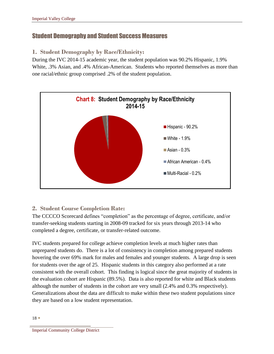### Student Demography and Student Success Measures

### **1. Student Demography by Race/Ethnicity:**

During the IVC 2014-15 academic year, the student population was 90.2% Hispanic, 1.9% White, .3% Asian, and .4% African-American. Students who reported themselves as more than one racial/ethnic group comprised .2% of the student population.



### **2. Student Course Completion Rate:**

The CCCCO Scorecard defines "completion" as the percentage of degree, certificate, and/or transfer-seeking students starting in 2008-09 tracked for six years through 2013-14 who completed a degree, certificate, or transfer-related outcome.

IVC students prepared for college achieve completion levels at much higher rates than unprepared students do. There is a lot of consistency in completion among prepared students hovering the over 69% mark for males and females and younger students. A large drop is seen for students over the age of 25. Hispanic students in this category also performed at a rate consistent with the overall cohort. This finding is logical since the great majority of students in the evaluation cohort are Hispanic (89.5%). Data is also reported for white and Black students although the number of students in the cohort are very small (2.4% and 0.3% respectively). Generalizations about the data are difficult to make within these two student populations since they are based on a low student representation.

Imperial Community College District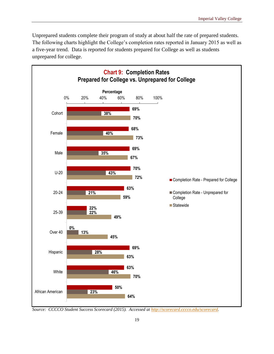Unprepared students complete their program of study at about half the rate of prepared students. The following charts highlight the College's completion rates reported in January 2015 as well as a five-year trend. Data is reported for students prepared for College as well as students unprepared for college.



*Source: CCCCO Student Success Scorecard (2015). Accessed at [http://scorecard.cccco.edu/scorecard.](http://scorecard.cccco.edu/scorecard)*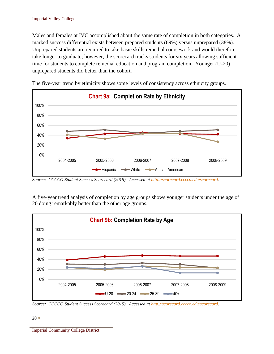Males and females at IVC accomplished about the same rate of completion in both categories. A marked success differential exists between prepared students (69%) versus unprepared (38%). Unprepared students are required to take basic skills remedial coursework and would therefore take longer to graduate; however, the scorecard tracks students for six years allowing sufficient time for students to complete remedial education and program completion. Younger (U-20) unprepared students did better than the cohort.



The five-year trend by ethnicity shows some levels of consistency across ethnicity groups.

*Source: CCCCO Student Success Scorecard (2015). Accessed at [http://scorecard.cccco.edu/scorecard.](http://scorecard.cccco.edu/scorecard)* 

A five-year trend analysis of completion by age groups shows younger students under the age of 20 doing remarkably better than the other age groups.



*Source: CCCCO Student Success Scorecard (2015). Accessed at [http://scorecard.cccco.edu/scorecard.](http://scorecard.cccco.edu/scorecard)* 

 $20 \bullet$ 

Imperial Community College District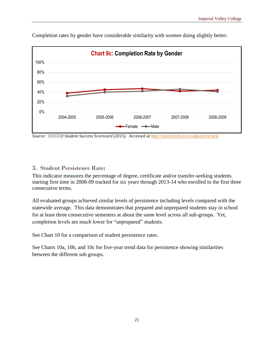

Completion rates by gender have considerable similarity with women doing slightly better.

*Source: CCCCO Student Success Scorecard (2015). Accessed at [http://scorecard.cccco.edu/scorecard.](http://scorecard.cccco.edu/scorecard)* 

#### **3. Student Persistence Rate:**

This indicator measures the percentage of degree, certificate and/or transfer-seeking students starting first time in 2008-09 tracked for six years through 2013-14 who enrolled in the first three consecutive terms.

All evaluated groups achieved similar levels of persistence including levels compared with the statewide average. This data demonstrates that prepared and unprepared students stay in school for at least three consecutive semesters at about the same level across all sub-groups. Yet, completion levels are much lower for "unprepared" students.

See Chart 10 for a comparison of student persistence rates.

See Charts 10a, 10b, and 10c for five-year trend data for persistence showing similarities between the different sub groups.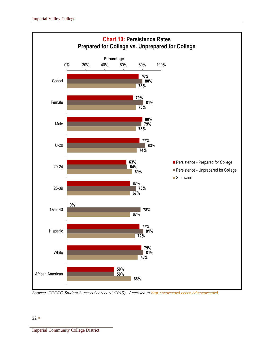

*Source: CCCCO Student Success Scorecard (2015). Accessed at [http://scorecard.cccco.edu/scorecard.](http://scorecard.cccco.edu/scorecard)* 

#### $22 \bullet$

Imperial Community College District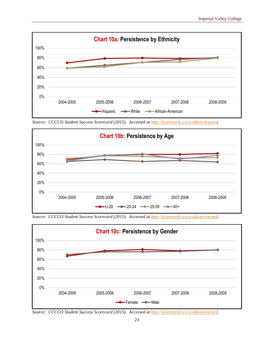

*Source: CCCCO Student Success Scorecard (2015). Accessed at [http://scorecard.cccco.edu/scorecard.](http://scorecard.cccco.edu/scorecard)* 



*Source: CCCCO Student Success Scorecard (2015). Accessed at [http://scorecard.cccco.edu/scorecard.](http://scorecard.cccco.edu/scorecard)* 



*Source: CCCCO Student Success Scorecard (2015). Accessed at [http://scorecard.cccco.edu/scorecard.](http://scorecard.cccco.edu/scorecard)*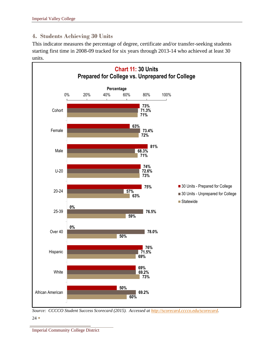# **4. Students Achieving 30 Units**

This indicator measures the percentage of degree, certificate and/or transfer-seeking students starting first time in 2008-09 tracked for six years through 2013-14 who achieved at least 30 units.



 $24 \bullet$ *Source: CCCCO Student Success Scorecard (2015). Accessed at [http://scorecard.cccco.edu/scorecard.](http://scorecard.cccco.edu/scorecard)* 

Imperial Community College District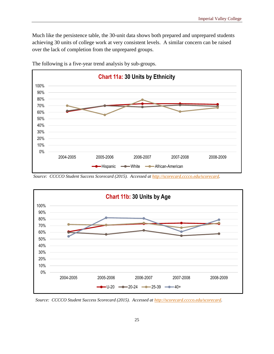Much like the persistence table, the 30-unit data shows both prepared and unprepared students achieving 30 units of college work at very consistent levels. A similar concern can be raised over the lack of completion from the unprepared groups.



The following is a five-year trend analysis by sub-groups.

*Source: CCCCO Student Success Scorecard (2015). Accessed at [http://scorecard.cccco.edu/scorecard.](http://scorecard.cccco.edu/scorecard)* 



*Source: CCCCO Student Success Scorecard (2015). Accessed at [http://scorecard.cccco.edu/scorecard.](http://scorecard.cccco.edu/scorecard)*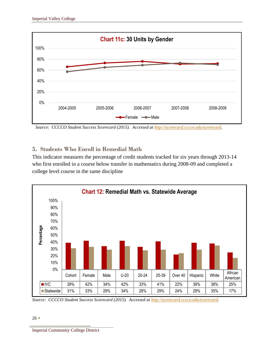

*Source: CCCCO Student Success Scorecard (2015). Accessed at [http://scorecard.cccco.edu/scorecard.](http://scorecard.cccco.edu/scorecard)* 

### **5. Students Who Enroll in Remedial Math**

This indicator measures the percentage of credit students tracked for six years through 2013-14 who first enrolled in a course below transfer in mathematics during 2008-09 and completed a college level course in the same discipline



*Source: CCCCO Student Success Scorecard (2015). Accessed at [http://scorecard.cccco.edu/scorecard.](http://scorecard.cccco.edu/scorecard)* 

Imperial Community College District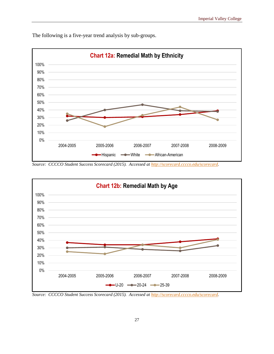

The following is a five-year trend analysis by sub-groups.

*Source: CCCCO Student Success Scorecard (2015). Accessed at [http://scorecard.cccco.edu/scorecard.](http://scorecard.cccco.edu/scorecard)* 



*Source: CCCCO Student Success Scorecard (2015). Accessed at [http://scorecard.cccco.edu/scorecard.](http://scorecard.cccco.edu/scorecard)*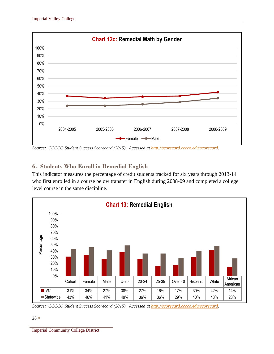

*Source: CCCCO Student Success Scorecard (2015). Accessed at [http://scorecard.cccco.edu/scorecard.](http://scorecard.cccco.edu/scorecard)* 

### **6. Students Who Enroll in Remedial English**

This indicator measures the percentage of credit students tracked for six years through 2013-14 who first enrolled in a course below transfer in English during 2008-09 and completed a college level course in the same discipline.



*Source: CCCCO Student Success Scorecard (2015). Accessed at [http://scorecard.cccco.edu/scorecard.](http://scorecard.cccco.edu/scorecard)* 

<sup>28</sup>

Imperial Community College District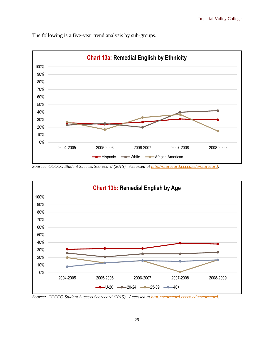



*Source: CCCCO Student Success Scorecard (2015). Accessed at [http://scorecard.cccco.edu/scorecard.](http://scorecard.cccco.edu/scorecard)* 



*Source: CCCCO Student Success Scorecard (2015). Accessed at [http://scorecard.cccco.edu/scorecard.](http://scorecard.cccco.edu/scorecard)*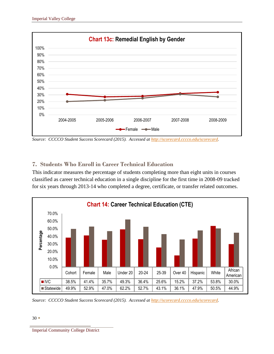

*Source: CCCCO Student Success Scorecard (2015). Accessed at [http://scorecard.cccco.edu/scorecard.](http://scorecard.cccco.edu/scorecard)* 

# **7. Students Who Enroll in Career Technical Education**

This indicator measures the percentage of students completing more than eight units in courses classified as career technical education in a single discipline for the first time in 2008-09 tracked for six years through 2013-14 who completed a degree, certificate, or transfer related outcomes.



*Source: CCCCO Student Success Scorecard (2015). Accessed at [http://scorecard.cccco.edu/scorecard.](http://scorecard.cccco.edu/scorecard)* 

Imperial Community College District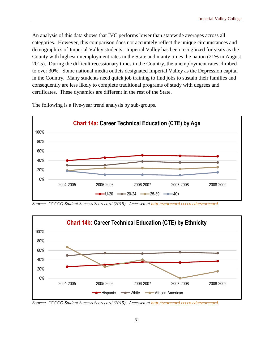An analysis of this data shows that IVC performs lower than statewide averages across all categories. However, this comparison does not accurately reflect the unique circumstances and demographics of Imperial Valley students. Imperial Valley has been recognized for years as the County with highest unemployment rates in the State and manty times the nation (21% in August 2015). During the difficult recessionary times in the Country, the unemployment rates climbed to over 30%. Some national media outlets designated Imperial Valley as the Depression capital in the Country. Many students need quick job training to find jobs to sustain their families and consequently are less likely to complete traditional programs of study with degrees and certificates. These dynamics are different in the rest of the State.



The following is a five-year trend analysis by sub-groups.

*Source: CCCCO Student Success Scorecard (2015). Accessed at [http://scorecard.cccco.edu/scorecard.](http://scorecard.cccco.edu/scorecard)* 



*Source: CCCCO Student Success Scorecard (2015). Accessed at [http://scorecard.cccco.edu/scorecard.](http://scorecard.cccco.edu/scorecard)*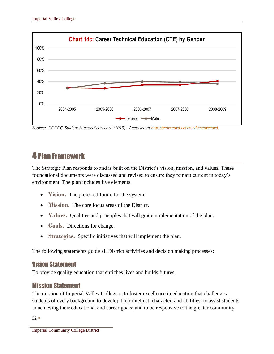

*Source: CCCCO Student Success Scorecard (2015). Accessed at [http://scorecard.cccco.edu/scorecard.](http://scorecard.cccco.edu/scorecard)* 

# 4 Plan Framework

The Strategic Plan responds to and is built on the District's vision, mission, and values. These foundational documents were discussed and revised to ensure they remain current in today's environment. The plan includes five elements.

- **Vision.** The preferred future for the system.
- **Mission.** The core focus areas of the District.
- **Values.** Qualities and principles that will guide implementation of the plan.
- **Goals.** Directions for change.
- **Strategies.** Specific initiatives that will implement the plan.

The following statements guide all District activities and decision making processes:

### Vision Statement

To provide quality education that enriches lives and builds futures.

# Mission Statement

The mission of Imperial Valley College is to foster excellence in education that challenges students of every background to develop their intellect, character, and abilities; to assist students in achieving their educational and career goals; and to be responsive to the greater community.

 $32 \bullet$ 

Imperial Community College District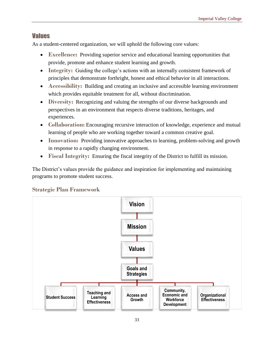#### Values

As a student-centered organization, we will uphold the following core values:

- **Excellence:** Providing superior service and educational learning opportunities that provide, promote and enhance student learning and growth.
- **Integrity:** Guiding the college's actions with an internally consistent framework of principles that demonstrate forthright, honest and ethical behavior in all interactions.
- **Accessibility:** Building and creating an inclusive and accessible learning environment which provides equitable treatment for all, without discrimination.
- **Diversity:** Recognizing and valuing the strengths of our diverse backgrounds and perspectives in an environment that respects diverse traditions, heritages, and experiences.
- **Collaboration:** Encouraging recursive interaction of knowledge, experience and mutual learning of people who are working together toward a common creative goal.
- **Innovation:** Providing innovative approaches to learning, problem-solving and growth in response to a rapidly changing environment.
- **Fiscal Integrity:** Ensuring the fiscal integrity of the District to fulfill its mission.

The District's values provide the guidance and inspiration for implementing and maintaining programs to promote student success.

#### **Strategic Plan Framework**

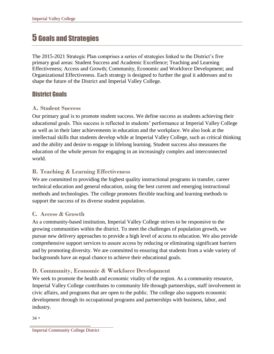# 5 Goals and Strategies

The 2015-2021 Strategic Plan comprises a series of strategies linked to the District's five primary goal areas: Student Success and Academic Excellence; Teaching and Learning Effectiveness; Access and Growth; Community, Economic and Workforce Development; and Organizational Effectiveness. Each strategy is designed to further the goal it addresses and to shape the future of the District and Imperial Valley College.

# District Goals

#### **A. Student Success**

Our primary goal is to promote student success. We define success as students achieving their educational goals. This success is reflected in students' performance at Imperial Valley College as well as in their later achievements in education and the workplace. We also look at the intellectual skills that students develop while at Imperial Valley College, such as critical thinking and the ability and desire to engage in lifelong learning. Student success also measures the education of the whole person for engaging in an increasingly complex and interconnected world.

### **B. Teaching & Learning Effectiveness**

We are committed to providing the highest quality instructional programs in transfer, career technical education and general education, using the best current and emerging instructional methods and technologies. The college promotes flexible teaching and learning methods to support the success of its diverse student population.

#### **C. Access & Growth**

As a community-based institution, Imperial Valley College strives to be responsive to the growing communities within the district. To meet the challenges of population growth, we pursue new delivery approaches to provide a high level of access to education. We also provide comprehensive support services to assure access by reducing or eliminating significant barriers and by promoting diversity. We are committed to ensuring that students from a wide variety of backgrounds have an equal chance to achieve their educational goals.

### **D. Community, Economic & Workforce Development**

We seek to promote the health and economic vitality of the region. As a community resource, Imperial Valley College contributes to community life through partnerships, staff involvement in civic affairs, and programs that are open to the public. The college also supports economic development through its occupational programs and partnerships with business, labor, and industry.

 $34 \bullet$ 

Imperial Community College District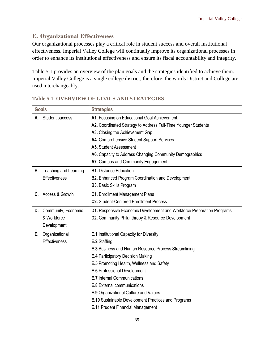### **E. Organizational Effectiveness**

Our organizational processes play a critical role in student success and overall institutional effectiveness. Imperial Valley College will continually improve its organizational processes in order to enhance its institutional effectiveness and ensure its fiscal accountability and integrity.

Table 5.1 provides an overview of the plan goals and the strategies identified to achieve them. Imperial Valley College is a single college district; therefore, the words District and College are used interchangeably.

| <b>Goals</b> |                        | <b>Strategies</b>                                                      |  |  |  |  |
|--------------|------------------------|------------------------------------------------------------------------|--|--|--|--|
| А.           | <b>Student success</b> | A1. Focusing on Educational Goal Achievement.                          |  |  |  |  |
|              |                        | A2. Coordinated Strategy to Address Full-Time Younger Students         |  |  |  |  |
|              |                        | A3. Closing the Achievement Gap                                        |  |  |  |  |
|              |                        | A4. Comprehensive Student Support Services                             |  |  |  |  |
|              |                        | A5. Student Assessment                                                 |  |  |  |  |
|              |                        | A6. Capacity to Address Changing Community Demographics                |  |  |  |  |
|              |                        | A7. Campus and Community Engagement                                    |  |  |  |  |
| В.           | Teaching and Learning  | <b>B1.</b> Distance Education                                          |  |  |  |  |
|              | Effectiveness          | <b>B2.</b> Enhanced Program Coordination and Development               |  |  |  |  |
|              |                        | <b>B3.</b> Basic Skills Program                                        |  |  |  |  |
| C.           | Access & Growth        | <b>C1.</b> Enrollment Management Plans                                 |  |  |  |  |
|              |                        | <b>C2.</b> Student-Centered Enrollment Process                         |  |  |  |  |
| D.           | Community, Economic    | D1. Responsive Economic Development and Workforce Preparation Programs |  |  |  |  |
|              | & Workforce            | D2. Community Philanthropy & Resource Development                      |  |  |  |  |
|              | Development            |                                                                        |  |  |  |  |
| Е.           | Organizational         | <b>E.1</b> Institutional Capacity for Diversity                        |  |  |  |  |
|              | <b>Effectiveness</b>   | E.2 Staffing                                                           |  |  |  |  |
|              |                        | <b>E.3 Business and Human Resource Process Streamlining</b>            |  |  |  |  |
|              |                        | <b>E.4 Participatory Decision Making</b>                               |  |  |  |  |
|              |                        | <b>E.5</b> Promoting Health, Wellness and Safety                       |  |  |  |  |
|              |                        | <b>E.6</b> Professional Development                                    |  |  |  |  |
|              |                        | <b>E.7</b> Internal Communications                                     |  |  |  |  |
|              |                        | <b>E.8</b> External communications                                     |  |  |  |  |
|              |                        | <b>E.9</b> Organizational Culture and Values                           |  |  |  |  |
|              |                        | E.10 Sustainable Development Practices and Programs                    |  |  |  |  |
|              |                        | <b>E.11 Prudent Financial Management</b>                               |  |  |  |  |

### **Table 5.1 OVERVIEW OF GOALS AND STRATEGIES**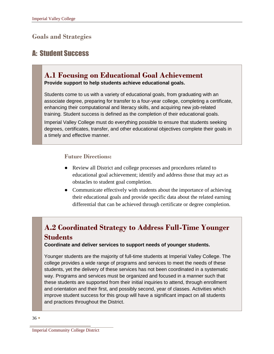# **Goals and Strategies**

# A: Student Success

# **A.1 Focusing on Educational Goal Achievement**

**Provide support to help students achieve educational goals.** 

Students come to us with a variety of educational goals, from graduating with an associate degree, preparing for transfer to a four-year college, completing a certificate, enhancing their computational and literacy skills, and acquiring new job-related training. Student success is defined as the completion of their educational goals.

Imperial Valley College must do everything possible to ensure that students seeking degrees, certificates, transfer, and other educational objectives complete their goals in a timely and effective manner.

#### **Future Directions:**

- Review all District and college processes and procedures related to educational goal achievement; identify and address those that may act as obstacles to student goal completion.
- Communicate effectively with students about the importance of achieving their educational goals and provide specific data about the related earning differential that can be achieved through certificate or degree completion.

# **A.2 Coordinated Strategy to Address Full-Time Younger Students**

**Coordinate and deliver services to support needs of younger students.** 

Younger students are the majority of full-time students at Imperial Valley College. The college provides a wide range of programs and services to meet the needs of these students, yet the delivery of these services has not been coordinated in a systematic way. Programs and services must be organized and focused in a manner such that these students are supported from their initial inquiries to attend, through enrollment and orientation and their first, and possibly second, year of classes. Activities which improve student success for this group will have a significant impact on all students and practices throughout the District.

Imperial Community College District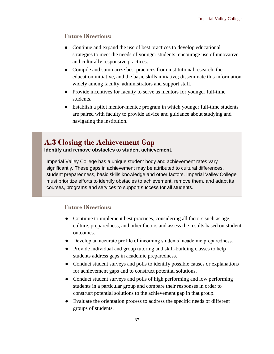#### **Future Directions:**

- Continue and expand the use of best practices to develop educational strategies to meet the needs of younger students; encourage use of innovative and culturally responsive practices.
- Compile and summarize best practices from institutional research, the education initiative, and the basic skills initiative; disseminate this information widely among faculty, administrators and support staff.
- Provide incentives for faculty to serve as mentors for younger full-time students.
- Establish a pilot mentor-mentee program in which younger full-time students are paired with faculty to provide advice and guidance about studying and navigating the institution.

# **A.3 Closing the Achievement Gap**

**Identify and remove obstacles to student achievement.** 

Imperial Valley College has a unique student body and achievement rates vary significantly. These gaps in achievement may be attributed to cultural differences, student preparedness, basic skills knowledge and other factors. Imperial Valley College must prioritize efforts to identify obstacles to achievement, remove them, and adapt its courses, programs and services to support success for all students.

- Continue to implement best practices, considering all factors such as age, culture, preparedness, and other factors and assess the results based on student outcomes.
- Develop an accurate profile of incoming students' academic preparedness.
- Provide individual and group tutoring and skill-building classes to help students address gaps in academic preparedness.
- Conduct student surveys and polls to identify possible causes or explanations for achievement gaps and to construct potential solutions.
- Conduct student surveys and polls of high performing and low performing students in a particular group and compare their responses in order to construct potential solutions to the achievement gap in that group.
- Evaluate the orientation process to address the specific needs of different groups of students.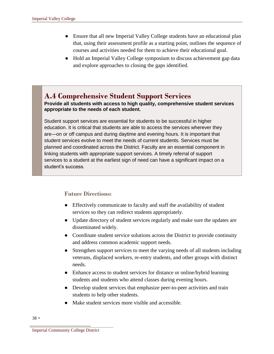- Ensure that all new Imperial Valley College students have an educational plan that, using their assessment profile as a starting point, outlines the sequence of courses and activities needed for them to achieve their educational goal.
- Hold an Imperial Valley College symposium to discuss achievement gap data and explore approaches to closing the gaps identified.

# **A.4 Comprehensive Student Support Services**

**Provide all students with access to high quality, comprehensive student services appropriate to the needs of each student.** 

Student support services are essential for students to be successful in higher education. It is critical that students are able to access the services wherever they are—on or off campus and during daytime and evening hours. It is important that student services evolve to meet the needs of current students. Services must be planned and coordinated across the District. Faculty are an essential component in linking students with appropriate support services. A timely referral of support services to a student at the earliest sign of need can have a significant impact on a student's success.

- Effectively communicate to faculty and staff the availability of student services so they can redirect students appropriately.
- Update directory of student services regularly and make sure the updates are disseminated widely.
- Coordinate student service solutions across the District to provide continuity and address common academic support needs.
- Strengthen support services to meet the varying needs of all students including veterans, displaced workers, re-entry students, and other groups with distinct needs.
- Enhance access to student services for distance or online/hybrid learning students and students who attend classes during evening hours.
- Develop student services that emphasize peer-to-peer activities and train students to help other students.
- Make student services more visible and accessible.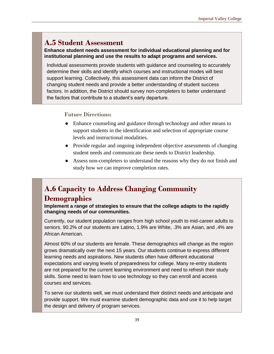# **A.5 Student Assessment**

**Enhance student needs assessment for individual educational planning and for institutional planning and use the results to adapt programs and services.** 

Individual assessments provide students with guidance and counseling to accurately determine their skills and identify which courses and instructional modes will best support learning. Collectively, this assessment data can inform the District of changing student needs and provide a better understanding of student success factors. In addition, the District should survey non-completers to better understand the factors that contribute to a student's early departure.

#### **Future Directions:**

- Enhance counseling and guidance through technology and other means to support students in the identification and selection of appropriate course levels and instructional modalities.
- Provide regular and ongoing independent objective assessments of changing student needs and communicate these needs to District leadership.
- Assess non-completers to understand the reasons why they do not finish and study how we can improve completion rates.

# **A.6 Capacity to Address Changing Community Demographics**

**Implement a range of strategies to ensure that the college adapts to the rapidly changing needs of our communities.** 

Currently, our student population ranges from high school youth to mid-career adults to seniors. 90.2% of our students are Latino, 1.9% are White, .3% are Asian, and .4% are African American.

Almost 60% of our students are female. These demographics will change as the region grows dramatically over the next 15 years. Our students continue to express different learning needs and aspirations. New students often have different educational expectations and varying levels of preparedness for college. Many re-entry students are not prepared for the current learning environment and need to refresh their study skills. Some need to learn how to use technology so they can enroll and access courses and services.

To serve our students well, we must understand their distinct needs and anticipate and provide support. We must examine student demographic data and use it to help target the design and delivery of program services.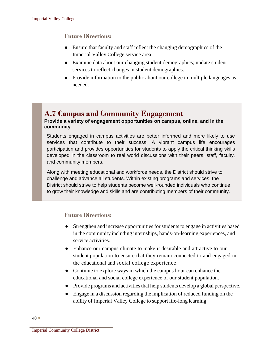#### **Future Directions:**

- Ensure that faculty and staff reflect the changing demographics of the Imperial Valley College service area.
- Examine data about our changing student demographics; update student services to reflect changes in student demographics.
- Provide information to the public about our college in multiple languages as needed.

# **A.7 Campus and Community Engagement**

#### **Provide a variety of engagement opportunities on campus, online, and in the community.**

Students engaged in campus activities are better informed and more likely to use services that contribute to their success. A vibrant campus life encourages participation and provides opportunities for students to apply the critical thinking skills developed in the classroom to real world discussions with their peers, staff, faculty, and community members.

Along with meeting educational and workforce needs, the District should strive to challenge and advance all students. Within existing programs and services, the District should strive to help students become well-rounded individuals who continue to grow their knowledge and skills and are contributing members of their community.

- Strengthen and increase opportunities for students to engage in activities based in the community including internships, hands-on-learning experiences, and service activities.
- Enhance our campus climate to make it desirable and attractive to our student population to ensure that they remain connected to and engaged in the educational and social college experience.
- Continue to explore ways in which the campus hour can enhance the educational and social college experience of our student population.
- Provide programs and activities that help students develop a global perspective.
- Engage in a discussion regarding the implication of reduced funding on the ability of Imperial Valley College to support life-long learning.

Imperial Community College District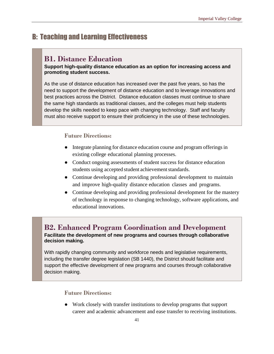# B: Teaching and Learning Effectiveness

# **B1. Distance Education**

#### **Support high-quality distance education as an option for increasing access and promoting student success.**

As the use of distance education has increased over the past five years, so has the need to support the development of distance education and to leverage innovations and best practices across the District. Distance education classes must continue to share the same high standards as traditional classes, and the colleges must help students develop the skills needed to keep pace with changing technology. Staff and faculty must also receive support to ensure their proficiency in the use of these technologies.

#### **Future Directions:**

- Integrate planning for distance education course and program offerings in existing college educational planning processes.
- Conduct ongoing assessments of student success for distance education students using accepted student achievement standards.
- Continue developing and providing professional development to maintain and improve high-quality distance education classes and programs.
- Continue developing and providing professional development for the mastery of technology in response to changing technology, software applications, and educational innovations.

### **B2. Enhanced Program Coordination and Development Facilitate the development of new programs and courses through collaborative decision making.**

With rapidly changing community and workforce needs and legislative requirements, including the transfer degree legislation (SB 1440), the District should facilitate and support the effective development of new programs and courses through collaborative decision making.

#### **Future Directions:**

● Work closely with transfer institutions to develop programs that support career and academic advancement and ease transfer to receiving institutions.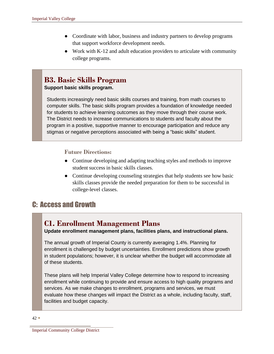- Coordinate with labor, business and industry partners to develop programs that support workforce development needs.
- Work with K-12 and adult education providers to articulate with community college programs.

# **B3. Basic Skills Program**

#### **Support basic skills program.**

Students increasingly need basic skills courses and training, from math courses to computer skills. The basic skills program provides a foundation of knowledge needed for students to achieve learning outcomes as they move through their course work. The District needs to increase communications to students and faculty about the program in a positive, supportive manner to encourage participation and reduce any stigmas or negative perceptions associated with being a "basic skills" student.

#### **Future Directions:**

- Continue developing and adapting teaching styles and methods to improve student success in basic skills classes.
- Continue developing counseling strategies that help students see how basic skills classes provide the needed preparation for them to be successful in college-level classes.

# C: Access and Growth

# **C1. Enrollment Management Plans**

**Update enrollment management plans, facilities plans, and instructional plans.** 

The annual growth of Imperial County is currently averaging 1.4%. Planning for enrollment is challenged by budget uncertainties. Enrollment predictions show growth in student populations; however, it is unclear whether the budget will accommodate all of these students.

These plans will help Imperial Valley College determine how to respond to increasing enrollment while continuing to provide and ensure access to high quality programs and services. As we make changes to enrollment, programs and services, we must evaluate how these changes will impact the District as a whole, including faculty, staff, facilities and budget capacity.

Imperial Community College District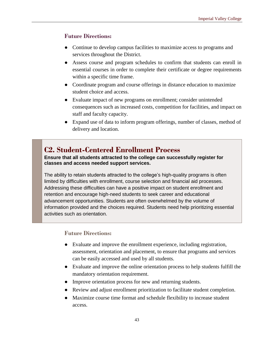#### **Future Directions:**

- Continue to develop campus facilities to maximize access to programs and services throughout the District.
- Assess course and program schedules to confirm that students can enroll in essential courses in order to complete their certificate or degree requirements within a specific time frame.
- Coordinate program and course offerings in distance education to maximize student choice and access.
- Evaluate impact of new programs on enrollment; consider unintended consequences such as increased costs, competition for facilities, and impact on staff and faculty capacity.
- Expand use of data to inform program offerings, number of classes, method of delivery and location.

# **C2. Student-Centered Enrollment Process**

**Ensure that all students attracted to the college can successfully register for classes and access needed support services.** 

The ability to retain students attracted to the college's high-quality programs is often limited by difficulties with enrollment, course selection and financial aid processes. Addressing these difficulties can have a positive impact on student enrollment and retention and encourage high-need students to seek career and educational advancement opportunities. Students are often overwhelmed by the volume of information provided and the choices required. Students need help prioritizing essential activities such as orientation.

- Evaluate and improve the enrollment experience, including registration, assessment, orientation and placement, to ensure that programs and services can be easily accessed and used by all students.
- Evaluate and improve the online orientation process to help students fulfill the mandatory orientation requirement.
- Improve orientation process for new and returning students.
- Review and adjust enrollment prioritization to facilitate student completion.
- Maximize course time format and schedule flexibility to increase student access.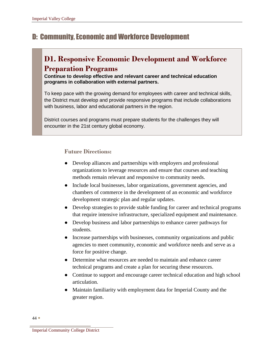# D: Community, Economic and Workforce Development

# **D1. Responsive Economic Development and Workforce Preparation Programs**

**Continue to develop effective and relevant career and technical education programs in collaboration with external partners.** 

To keep pace with the growing demand for employees with career and technical skills, the District must develop and provide responsive programs that include collaborations with business, labor and educational partners in the region.

District courses and programs must prepare students for the challenges they will encounter in the 21st century global economy.

#### **Future Directions:**

- Develop alliances and partnerships with employers and professional organizations to leverage resources and ensure that courses and teaching methods remain relevant and responsive to community needs.
- Include local businesses, labor organizations, government agencies, and chambers of commerce in the development of an economic and workforce development strategic plan and regular updates.
- Develop strategies to provide stable funding for career and technical programs that require intensive infrastructure, specialized equipment and maintenance.
- Develop business and labor partnerships to enhance career pathways for students.
- Increase partnerships with businesses, community organizations and public agencies to meet community, economic and workforce needs and serve as a force for positive change.
- Determine what resources are needed to maintain and enhance career technical programs and create a plan for securing these resources.
- Continue to support and encourage career technical education and high school articulation.
- Maintain familiarity with employment data for Imperial County and the greater region.

44  $\bullet$ 

Imperial Community College District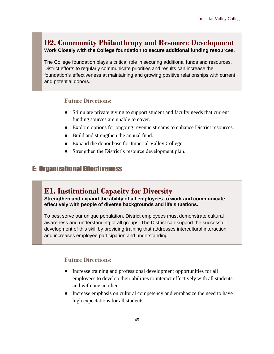# **D2. Community Philanthropy and Resource Development**

**Work Closely with the College foundation to secure additional funding resources.** 

The College foundation plays a critical role in securing additional funds and resources. District efforts to regularly communicate priorities and results can increase the foundation's effectiveness at maintaining and growing positive relationships with current and potential donors.

#### **Future Directions:**

- Stimulate private giving to support student and faculty needs that current funding sources are unable to cover.
- Explore options for ongoing revenue streams to enhance District resources.
- Build and strengthen the annual fund.
- Expand the donor base for Imperial Valley College.
- Strengthen the District's resource development plan.

# E: Organizational Effectiveness

# **E1. Institutional Capacity for Diversity**

**Strengthen and expand the ability of all employees to work and communicate effectively with people of diverse backgrounds and life situations.** 

To best serve our unique population, District employees must demonstrate cultural awareness and understanding of all groups. The District can support the successful development of this skill by providing training that addresses intercultural interaction and increases employee participation and understanding.

- Increase training and professional development opportunities for all employees to develop their abilities to interact effectively with all students and with one another.
- Increase emphasis on cultural competency and emphasize the need to have high expectations for all students.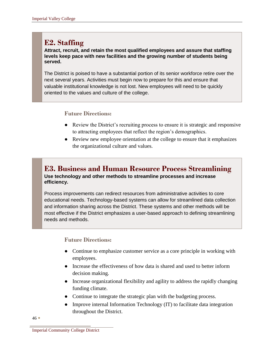# **E2. Staffing**

**Attract, recruit, and retain the most qualified employees and assure that staffing levels keep pace with new facilities and the growing number of students being served.** 

The District is poised to have a substantial portion of its senior workforce retire over the next several years. Activities must begin now to prepare for this and ensure that valuable institutional knowledge is not lost. New employees will need to be quickly oriented to the values and culture of the college.

#### **Future Directions:**

- Review the District's recruiting process to ensure it is strategic and responsive to attracting employees that reflect the region's demographics.
- Review new employee orientation at the college to ensure that it emphasizes the organizational culture and values.

### **E3. Business and Human Resource Process Streamlining Use technology and other methods to streamline processes and increase efficiency.**

Process improvements can redirect resources from administrative activities to core educational needs. Technology-based systems can allow for streamlined data collection and information sharing across the District. These systems and other methods will be most effective if the District emphasizes a user-based approach to defining streamlining needs and methods.

#### **Future Directions:**

- Continue to emphasize customer service as a core principle in working with employees.
- Increase the effectiveness of how data is shared and used to better inform decision making.
- Increase organizational flexibility and agility to address the rapidly changing funding climate.
- Continue to integrate the strategic plan with the budgeting process.
- Improve internal Information Technology (IT) to facilitate data integration throughout the District.

 $46 \bullet$ 

Imperial Community College District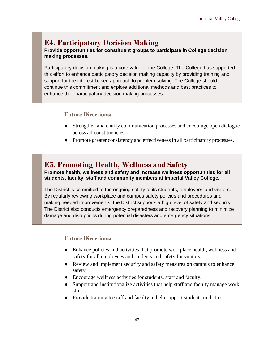# **E4. Participatory Decision Making**

**Provide opportunities for constituent groups to participate in College decision making processes.** 

Participatory decision making is a core value of the College. The College has supported this effort to enhance participatory decision making capacity by providing training and support for the interest-based approach to problem solving. The College should continue this commitment and explore additional methods and best practices to enhance their participatory decision making processes.

#### **Future Directions:**

- Strengthen and clarify communication processes and encourage open dialogue across all constituencies.
- Promote greater consistency and effectiveness in all participatory processes.

# **E5. Promoting Health, Wellness and Safety**

**Promote health, wellness and safety and increase wellness opportunities for all students, faculty, staff and community members at Imperial Valley College.** 

The District is committed to the ongoing safety of its students, employees and visitors. By regularly reviewing workplace and campus safety policies and procedures and making needed improvements, the District supports a high level of safety and security. The District also conducts emergency preparedness and recovery planning to minimize damage and disruptions during potential disasters and emergency situations.

- Enhance policies and activities that promote workplace health, wellness and safety for all employees and students and safety for visitors.
- Review and implement security and safety measures on campus to enhance safety.
- Encourage wellness activities for students, staff and faculty.
- Support and institutionalize activities that help staff and faculty manage work stress.
- Provide training to staff and faculty to help support students in distress.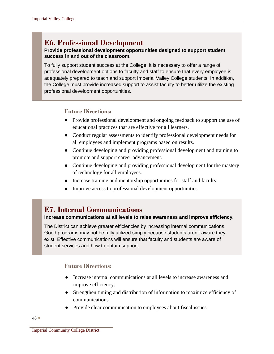# **E6. Professional Development**

#### **Provide professional development opportunities designed to support student success in and out of the classroom.**

To fully support student success at the College, it is necessary to offer a range of professional development options to faculty and staff to ensure that every employee is adequately prepared to teach and support Imperial Valley College students. In addition, the College must provide increased support to assist faculty to better utilize the existing professional development opportunities.

#### **Future Directions:**

- Provide professional development and ongoing feedback to support the use of educational practices that are effective for all learners.
- Conduct regular assessments to identify professional development needs for all employees and implement programs based on results.
- Continue developing and providing professional development and training to promote and support career advancement.
- Continue developing and providing professional development for the mastery of technology for all employees.
- Increase training and mentorship opportunities for staff and faculty.
- Improve access to professional development opportunities.

# **E7. Internal Communications**

#### **Increase communications at all levels to raise awareness and improve efficiency.**

The District can achieve greater efficiencies by increasing internal communications. Good programs may not be fully utilized simply because students aren't aware they exist. Effective communications will ensure that faculty and students are aware of student services and how to obtain support.

- Increase internal communications at all levels to increase awareness and improve efficiency.
- Strengthen timing and distribution of information to maximize efficiency of communications.
- Provide clear communication to employees about fiscal issues.

Imperial Community College District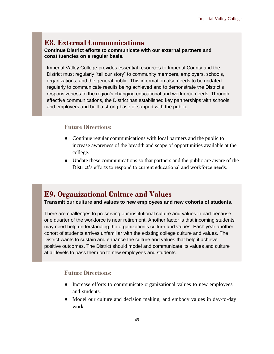# **E8. External Communications**

**Continue District efforts to communicate with our external partners and constituencies on a regular basis.** 

Imperial Valley College provides essential resources to Imperial County and the District must regularly "tell our story" to community members, employers, schools, organizations, and the general public. This information also needs to be updated regularly to communicate results being achieved and to demonstrate the District's responsiveness to the region's changing educational and workforce needs. Through effective communications, the District has established key partnerships with schools and employers and built a strong base of support with the public.

#### **Future Directions:**

- Continue regular communications with local partners and the public to increase awareness of the breadth and scope of opportunities available at the college.
- Update these communications so that partners and the public are aware of the District's efforts to respond to current educational and workforce needs.

# **E9. Organizational Culture and Values**

**Transmit our culture and values to new employees and new cohorts of students.** 

There are challenges to preserving our institutional culture and values in part because one quarter of the workforce is near retirement. Another factor is that incoming students may need help understanding the organization's culture and values. Each year another cohort of students arrives unfamiliar with the existing college culture and values. The District wants to sustain and enhance the culture and values that help it achieve positive outcomes. The District should model and communicate its values and culture at all levels to pass them on to new employees and students.

- Increase efforts to communicate organizational values to new employees and students.
- Model our culture and decision making, and embody values in day-to-day work.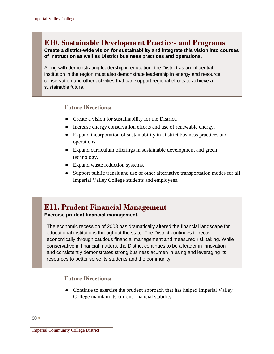# **E10. Sustainable Development Practices and Programs**

#### **Create a district-wide vision for sustainability and integrate this vision into courses of instruction as well as District business practices and operations.**

Along with demonstrating leadership in education, the District as an influential institution in the region must also demonstrate leadership in energy and resource conservation and other activities that can support regional efforts to achieve a sustainable future.

#### **Future Directions:**

- Create a vision for sustainability for the District.
- Increase energy conservation efforts and use of renewable energy.
- Expand incorporation of sustainability in District business practices and operations.
- Expand curriculum offerings in sustainable development and green technology.
- Expand waste reduction systems.
- Support public transit and use of other alternative transportation modes for all Imperial Valley College students and employees.

# **E11. Prudent Financial Management**

#### **Exercise prudent financial management.**

The economic recession of 2008 has dramatically altered the financial landscape for educational institutions throughout the state. The District continues to recover economically through cautious financial management and measured risk taking. While conservative in financial matters, the District continues to be a leader in innovation and consistently demonstrates strong business acumen in using and leveraging its resources to better serve its students and the community.

### **Future Directions:**

• Continue to exercise the prudent approach that has helped Imperial Valley College maintain its current financial stability.

Imperial Community College District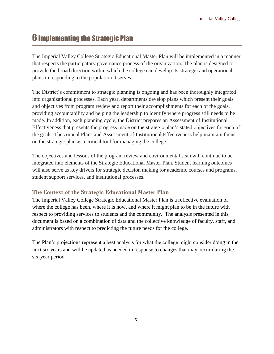# **6 Implementing the Strategic Plan**

The Imperial Valley College Strategic Educational Master Plan will be implemented in a manner that respects the participatory governance process of the organization. The plan is designed to provide the broad direction within which the college can develop its strategic and operational plans in responding to the population it serves.

The District's commitment to strategic planning is ongoing and has been thoroughly integrated into organizational processes. Each year, departments develop plans which present their goals and objectives from program review and report their accomplishments for each of the goals, providing accountability and helping the leadership to identify where progress still needs to be made. In addition, each planning cycle, the District prepares an Assessment of Institutional Effectiveness that presents the progress made on the strategic plan's stated objectives for each of the goals. The Annual Plans and Assessment of Institutional Effectiveness help maintain focus on the strategic plan as a critical tool for managing the college.

The objectives and lessons of the program review and environmental scan will continue to be integrated into elements of the Strategic Educational Master Plan. Student learning outcomes will also serve as key drivers for strategic decision making for academic courses and programs, student support services, and institutional processes.

#### **The Context of the Strategic Educational Master Plan**

The Imperial Valley College Strategic Educational Master Plan is a reflective evaluation of where the college has been, where it is now, and where it might plan to be in the future with respect to providing services to students and the community. The analysis presented in this document is based on a combination of data and the collective knowledge of faculty, staff, and administrators with respect to predicting the future needs for the college.

The Plan's projections represent a best analysis for what the college might consider doing in the next six years and will be updated as needed in response to changes that may occur during the six-year period.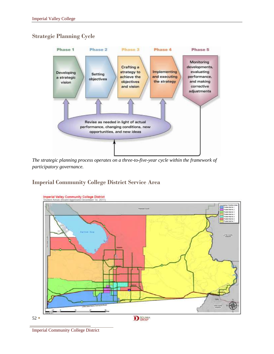### **Strategic Planning Cycle**



*The strategic planning process operates on a three-to-five-year cycle within the framework of participatory governance.* 

### **Imperial Community College District Service Area**



Imperial Community College District